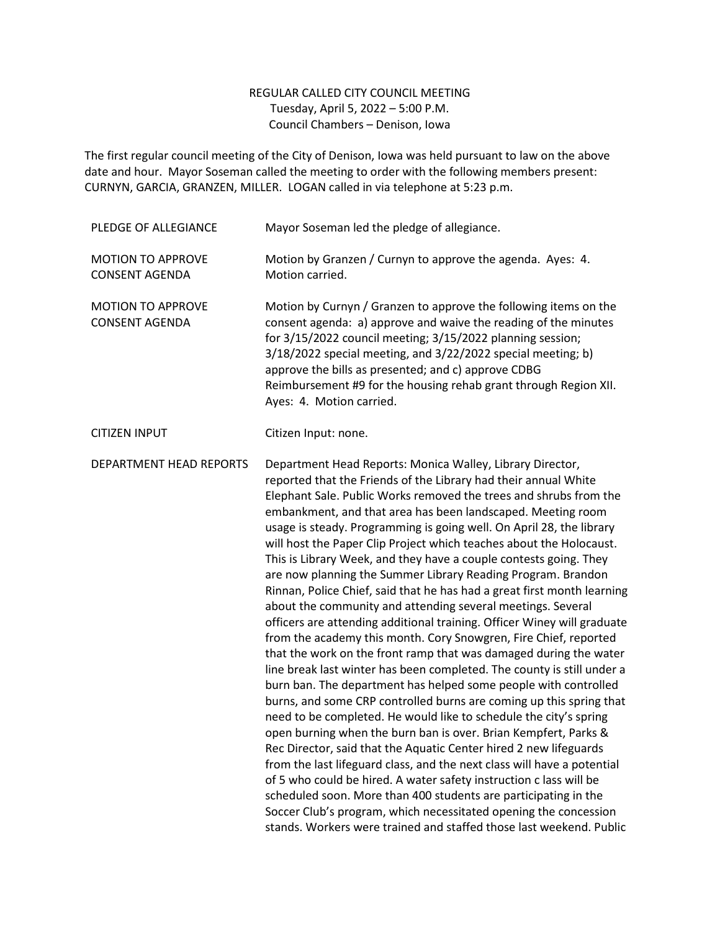## REGULAR CALLED CITY COUNCIL MEETING Tuesday, April 5, 2022 – 5:00 P.M. Council Chambers – Denison, Iowa

The first regular council meeting of the City of Denison, Iowa was held pursuant to law on the above date and hour. Mayor Soseman called the meeting to order with the following members present: CURNYN, GARCIA, GRANZEN, MILLER. LOGAN called in via telephone at 5:23 p.m.

| PLEDGE OF ALLEGIANCE                              | Mayor Soseman led the pledge of allegiance.                                                                                                                                                                                                                                                                                                                                                                                                                                                                                                                                                                                                                                                                                                                                                                                                                                                                                                                                                                                                                                                                                                                                                                                                                                                                                                                                                                                                                                                                                                                                                                                                                                                                        |
|---------------------------------------------------|--------------------------------------------------------------------------------------------------------------------------------------------------------------------------------------------------------------------------------------------------------------------------------------------------------------------------------------------------------------------------------------------------------------------------------------------------------------------------------------------------------------------------------------------------------------------------------------------------------------------------------------------------------------------------------------------------------------------------------------------------------------------------------------------------------------------------------------------------------------------------------------------------------------------------------------------------------------------------------------------------------------------------------------------------------------------------------------------------------------------------------------------------------------------------------------------------------------------------------------------------------------------------------------------------------------------------------------------------------------------------------------------------------------------------------------------------------------------------------------------------------------------------------------------------------------------------------------------------------------------------------------------------------------------------------------------------------------------|
| <b>MOTION TO APPROVE</b><br><b>CONSENT AGENDA</b> | Motion by Granzen / Curnyn to approve the agenda. Ayes: 4.<br>Motion carried.                                                                                                                                                                                                                                                                                                                                                                                                                                                                                                                                                                                                                                                                                                                                                                                                                                                                                                                                                                                                                                                                                                                                                                                                                                                                                                                                                                                                                                                                                                                                                                                                                                      |
| <b>MOTION TO APPROVE</b><br><b>CONSENT AGENDA</b> | Motion by Curnyn / Granzen to approve the following items on the<br>consent agenda: a) approve and waive the reading of the minutes<br>for 3/15/2022 council meeting; 3/15/2022 planning session;<br>3/18/2022 special meeting, and 3/22/2022 special meeting; b)<br>approve the bills as presented; and c) approve CDBG<br>Reimbursement #9 for the housing rehab grant through Region XII.<br>Ayes: 4. Motion carried.                                                                                                                                                                                                                                                                                                                                                                                                                                                                                                                                                                                                                                                                                                                                                                                                                                                                                                                                                                                                                                                                                                                                                                                                                                                                                           |
| <b>CITIZEN INPUT</b>                              | Citizen Input: none.                                                                                                                                                                                                                                                                                                                                                                                                                                                                                                                                                                                                                                                                                                                                                                                                                                                                                                                                                                                                                                                                                                                                                                                                                                                                                                                                                                                                                                                                                                                                                                                                                                                                                               |
| DEPARTMENT HEAD REPORTS                           | Department Head Reports: Monica Walley, Library Director,<br>reported that the Friends of the Library had their annual White<br>Elephant Sale. Public Works removed the trees and shrubs from the<br>embankment, and that area has been landscaped. Meeting room<br>usage is steady. Programming is going well. On April 28, the library<br>will host the Paper Clip Project which teaches about the Holocaust.<br>This is Library Week, and they have a couple contests going. They<br>are now planning the Summer Library Reading Program. Brandon<br>Rinnan, Police Chief, said that he has had a great first month learning<br>about the community and attending several meetings. Several<br>officers are attending additional training. Officer Winey will graduate<br>from the academy this month. Cory Snowgren, Fire Chief, reported<br>that the work on the front ramp that was damaged during the water<br>line break last winter has been completed. The county is still under a<br>burn ban. The department has helped some people with controlled<br>burns, and some CRP controlled burns are coming up this spring that<br>need to be completed. He would like to schedule the city's spring<br>open burning when the burn ban is over. Brian Kempfert, Parks &<br>Rec Director, said that the Aquatic Center hired 2 new lifeguards<br>from the last lifeguard class, and the next class will have a potential<br>of 5 who could be hired. A water safety instruction c lass will be<br>scheduled soon. More than 400 students are participating in the<br>Soccer Club's program, which necessitated opening the concession<br>stands. Workers were trained and staffed those last weekend. Public |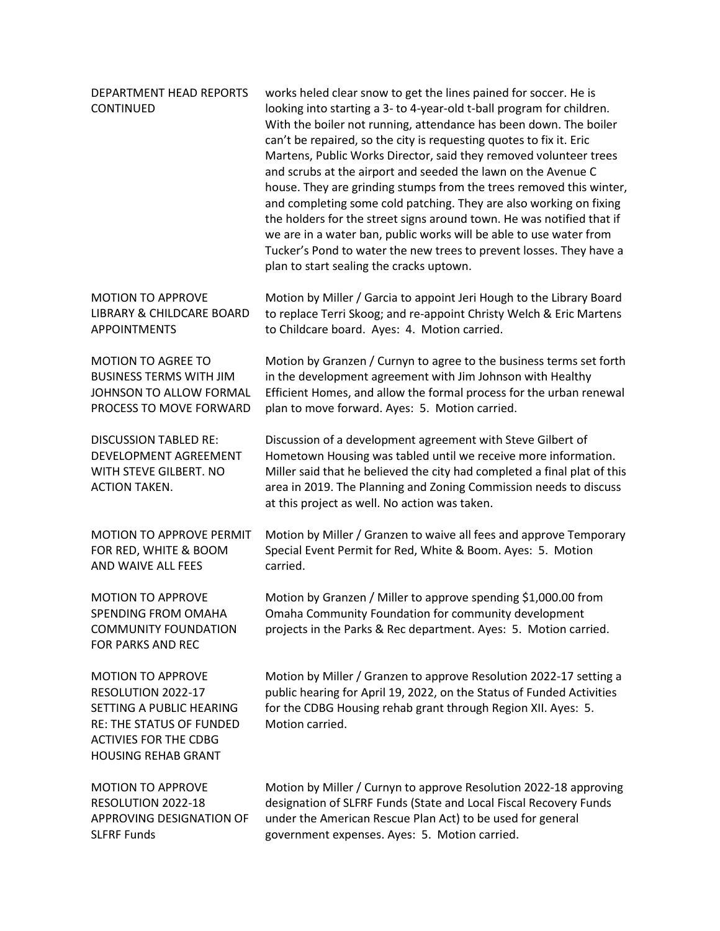| DEPARTMENT HEAD REPORTS<br><b>CONTINUED</b>                                                                                                                          | works heled clear snow to get the lines pained for soccer. He is<br>looking into starting a 3- to 4-year-old t-ball program for children.<br>With the boiler not running, attendance has been down. The boiler<br>can't be repaired, so the city is requesting quotes to fix it. Eric<br>Martens, Public Works Director, said they removed volunteer trees<br>and scrubs at the airport and seeded the lawn on the Avenue C<br>house. They are grinding stumps from the trees removed this winter,<br>and completing some cold patching. They are also working on fixing<br>the holders for the street signs around town. He was notified that if<br>we are in a water ban, public works will be able to use water from<br>Tucker's Pond to water the new trees to prevent losses. They have a<br>plan to start sealing the cracks uptown. |
|----------------------------------------------------------------------------------------------------------------------------------------------------------------------|--------------------------------------------------------------------------------------------------------------------------------------------------------------------------------------------------------------------------------------------------------------------------------------------------------------------------------------------------------------------------------------------------------------------------------------------------------------------------------------------------------------------------------------------------------------------------------------------------------------------------------------------------------------------------------------------------------------------------------------------------------------------------------------------------------------------------------------------|
| <b>MOTION TO APPROVE</b>                                                                                                                                             | Motion by Miller / Garcia to appoint Jeri Hough to the Library Board                                                                                                                                                                                                                                                                                                                                                                                                                                                                                                                                                                                                                                                                                                                                                                       |
| LIBRARY & CHILDCARE BOARD                                                                                                                                            | to replace Terri Skoog; and re-appoint Christy Welch & Eric Martens                                                                                                                                                                                                                                                                                                                                                                                                                                                                                                                                                                                                                                                                                                                                                                        |
| <b>APPOINTMENTS</b>                                                                                                                                                  | to Childcare board. Ayes: 4. Motion carried.                                                                                                                                                                                                                                                                                                                                                                                                                                                                                                                                                                                                                                                                                                                                                                                               |
| <b>MOTION TO AGREE TO</b>                                                                                                                                            | Motion by Granzen / Curnyn to agree to the business terms set forth                                                                                                                                                                                                                                                                                                                                                                                                                                                                                                                                                                                                                                                                                                                                                                        |
| <b>BUSINESS TERMS WITH JIM</b>                                                                                                                                       | in the development agreement with Jim Johnson with Healthy                                                                                                                                                                                                                                                                                                                                                                                                                                                                                                                                                                                                                                                                                                                                                                                 |
| JOHNSON TO ALLOW FORMAL                                                                                                                                              | Efficient Homes, and allow the formal process for the urban renewal                                                                                                                                                                                                                                                                                                                                                                                                                                                                                                                                                                                                                                                                                                                                                                        |
| PROCESS TO MOVE FORWARD                                                                                                                                              | plan to move forward. Ayes: 5. Motion carried.                                                                                                                                                                                                                                                                                                                                                                                                                                                                                                                                                                                                                                                                                                                                                                                             |
| <b>DISCUSSION TABLED RE:</b><br>DEVELOPMENT AGREEMENT<br>WITH STEVE GILBERT. NO<br><b>ACTION TAKEN.</b>                                                              | Discussion of a development agreement with Steve Gilbert of<br>Hometown Housing was tabled until we receive more information.<br>Miller said that he believed the city had completed a final plat of this<br>area in 2019. The Planning and Zoning Commission needs to discuss<br>at this project as well. No action was taken.                                                                                                                                                                                                                                                                                                                                                                                                                                                                                                            |
| MOTION TO APPROVE PERMIT                                                                                                                                             | Motion by Miller / Granzen to waive all fees and approve Temporary                                                                                                                                                                                                                                                                                                                                                                                                                                                                                                                                                                                                                                                                                                                                                                         |
| FOR RED, WHITE & BOOM                                                                                                                                                | Special Event Permit for Red, White & Boom. Ayes: 5. Motion                                                                                                                                                                                                                                                                                                                                                                                                                                                                                                                                                                                                                                                                                                                                                                                |
| AND WAIVE ALL FEES                                                                                                                                                   | carried.                                                                                                                                                                                                                                                                                                                                                                                                                                                                                                                                                                                                                                                                                                                                                                                                                                   |
| <b>MOTION TO APPROVE</b><br>SPENDING FROM OMAHA<br><b>COMMUNITY FOUNDATION</b><br>FOR PARKS AND REC                                                                  | Motion by Granzen / Miller to approve spending \$1,000.00 from<br>Omaha Community Foundation for community development<br>projects in the Parks & Rec department. Ayes: 5. Motion carried.                                                                                                                                                                                                                                                                                                                                                                                                                                                                                                                                                                                                                                                 |
| <b>MOTION TO APPROVE</b><br>RESOLUTION 2022-17<br>SETTING A PUBLIC HEARING<br>RE: THE STATUS OF FUNDED<br><b>ACTIVIES FOR THE CDBG</b><br><b>HOUSING REHAB GRANT</b> | Motion by Miller / Granzen to approve Resolution 2022-17 setting a<br>public hearing for April 19, 2022, on the Status of Funded Activities<br>for the CDBG Housing rehab grant through Region XII. Ayes: 5.<br>Motion carried.                                                                                                                                                                                                                                                                                                                                                                                                                                                                                                                                                                                                            |
| <b>MOTION TO APPROVE</b>                                                                                                                                             | Motion by Miller / Curnyn to approve Resolution 2022-18 approving                                                                                                                                                                                                                                                                                                                                                                                                                                                                                                                                                                                                                                                                                                                                                                          |
| RESOLUTION 2022-18                                                                                                                                                   | designation of SLFRF Funds (State and Local Fiscal Recovery Funds                                                                                                                                                                                                                                                                                                                                                                                                                                                                                                                                                                                                                                                                                                                                                                          |
| APPROVING DESIGNATION OF                                                                                                                                             | under the American Rescue Plan Act) to be used for general                                                                                                                                                                                                                                                                                                                                                                                                                                                                                                                                                                                                                                                                                                                                                                                 |
| <b>SLFRF Funds</b>                                                                                                                                                   | government expenses. Ayes: 5. Motion carried.                                                                                                                                                                                                                                                                                                                                                                                                                                                                                                                                                                                                                                                                                                                                                                                              |